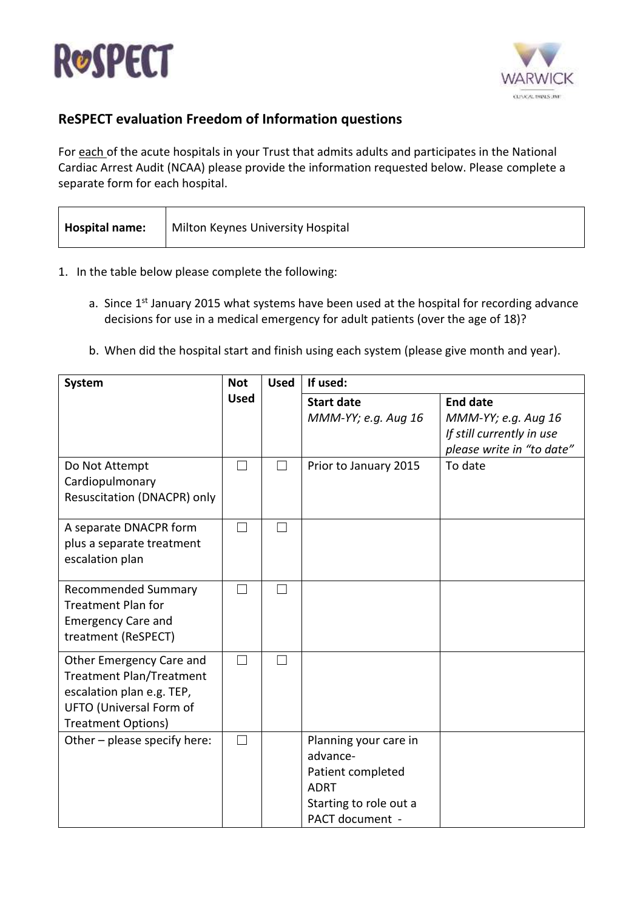



## **ReSPECT evaluation Freedom of Information questions**

For each of the acute hospitals in your Trust that admits adults and participates in the National Cardiac Arrest Audit (NCAA) please provide the information requested below. Please complete a separate form for each hospital.

| Hospital name: | Milton Keynes University Hospital |
|----------------|-----------------------------------|
|----------------|-----------------------------------|

- 1. In the table below please complete the following:
	- a. Since 1<sup>st</sup> January 2015 what systems have been used at the hospital for recording advance decisions for use in a medical emergency for adult patients (over the age of 18)?
	- b. When did the hospital start and finish using each system (please give month and year).

| <b>System</b>                                                                                                                                    | <b>Not</b>  | <b>Used</b> | If used:                                                                                                           |                                                                                                  |  |
|--------------------------------------------------------------------------------------------------------------------------------------------------|-------------|-------------|--------------------------------------------------------------------------------------------------------------------|--------------------------------------------------------------------------------------------------|--|
|                                                                                                                                                  | <b>Used</b> |             | <b>Start date</b><br>MMM-YY; e.g. Aug 16                                                                           | <b>End date</b><br>MMM-YY; e.g. Aug 16<br>If still currently in use<br>please write in "to date" |  |
| Do Not Attempt<br>Cardiopulmonary<br>Resuscitation (DNACPR) only                                                                                 | ┓           | П           | Prior to January 2015                                                                                              | To date                                                                                          |  |
| A separate DNACPR form<br>plus a separate treatment<br>escalation plan                                                                           | П           |             |                                                                                                                    |                                                                                                  |  |
| <b>Recommended Summary</b><br><b>Treatment Plan for</b><br><b>Emergency Care and</b><br>treatment (ReSPECT)                                      |             |             |                                                                                                                    |                                                                                                  |  |
| Other Emergency Care and<br><b>Treatment Plan/Treatment</b><br>escalation plan e.g. TEP,<br>UFTO (Universal Form of<br><b>Treatment Options)</b> | □           |             |                                                                                                                    |                                                                                                  |  |
| Other - please specify here:                                                                                                                     | ┓           |             | Planning your care in<br>advance-<br>Patient completed<br><b>ADRT</b><br>Starting to role out a<br>PACT document - |                                                                                                  |  |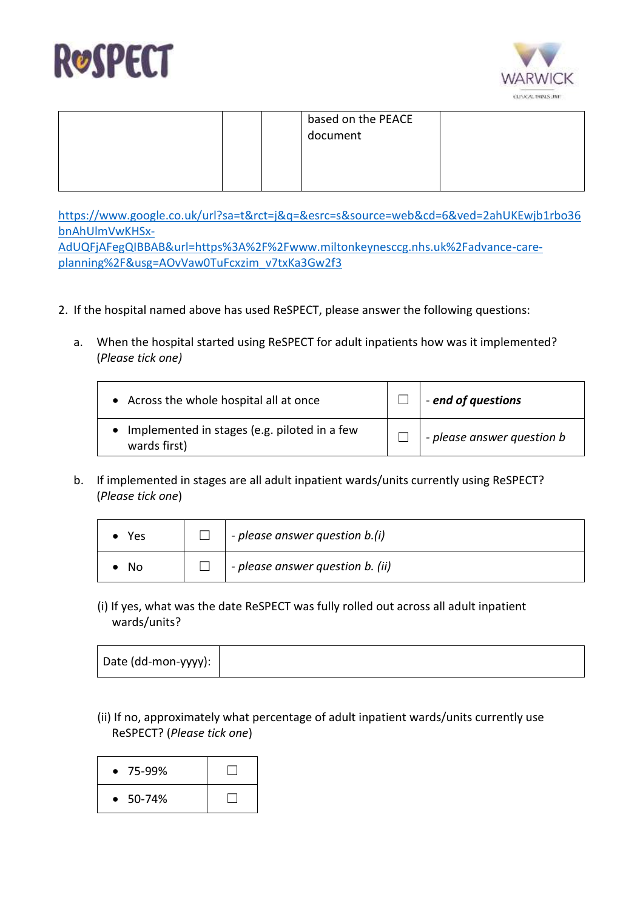



|  | based on the PEACE<br>document |  |
|--|--------------------------------|--|
|  |                                |  |

[https://www.google.co.uk/url?sa=t&rct=j&q=&esrc=s&source=web&cd=6&ved=2ahUKEwjb1rbo36](https://www.google.co.uk/url?sa=t&rct=j&q=&esrc=s&source=web&cd=6&ved=2ahUKEwjb1rbo36bnAhUlmVwKHSx-AdUQFjAFegQIBBAB&url=https%3A%2F%2Fwww.miltonkeynesccg.nhs.uk%2Fadvance-care-planning%2F&usg=AOvVaw0TuFcxzim_v7txKa3Gw2f3) [bnAhUlmVwKHSx-](https://www.google.co.uk/url?sa=t&rct=j&q=&esrc=s&source=web&cd=6&ved=2ahUKEwjb1rbo36bnAhUlmVwKHSx-AdUQFjAFegQIBBAB&url=https%3A%2F%2Fwww.miltonkeynesccg.nhs.uk%2Fadvance-care-planning%2F&usg=AOvVaw0TuFcxzim_v7txKa3Gw2f3)[AdUQFjAFegQIBBAB&url=https%3A%2F%2Fwww.miltonkeynesccg.nhs.uk%2Fadvance-care-](https://www.google.co.uk/url?sa=t&rct=j&q=&esrc=s&source=web&cd=6&ved=2ahUKEwjb1rbo36bnAhUlmVwKHSx-AdUQFjAFegQIBBAB&url=https%3A%2F%2Fwww.miltonkeynesccg.nhs.uk%2Fadvance-care-planning%2F&usg=AOvVaw0TuFcxzim_v7txKa3Gw2f3)

[planning%2F&usg=AOvVaw0TuFcxzim\\_v7txKa3Gw2f3](https://www.google.co.uk/url?sa=t&rct=j&q=&esrc=s&source=web&cd=6&ved=2ahUKEwjb1rbo36bnAhUlmVwKHSx-AdUQFjAFegQIBBAB&url=https%3A%2F%2Fwww.miltonkeynesccg.nhs.uk%2Fadvance-care-planning%2F&usg=AOvVaw0TuFcxzim_v7txKa3Gw2f3)

- 2. If the hospital named above has used ReSPECT, please answer the following questions:
	- a. When the hospital started using ReSPECT for adult inpatients how was it implemented? (*Please tick one)*

| • Across the whole hospital all at once                        | - end of questions                  |
|----------------------------------------------------------------|-------------------------------------|
| • Implemented in stages (e.g. piloted in a few<br>wards first) | $\vdash$ - please answer question b |

b. If implemented in stages are all adult inpatient wards/units currently using ReSPECT? (*Please tick one*)

| Yes | $\vert$ - please answer question b.(i) |
|-----|----------------------------------------|
| No  | - please answer question b. (ii)       |

(i) If yes, what was the date ReSPECT was fully rolled out across all adult inpatient wards/units?

| Date (dd-mon-yyyy): |
|---------------------|
|---------------------|

(ii) If no, approximately what percentage of adult inpatient wards/units currently use ReSPECT? (*Please tick one*)

| $• 75-99%$          |  |
|---------------------|--|
| 50-74%<br>$\bullet$ |  |